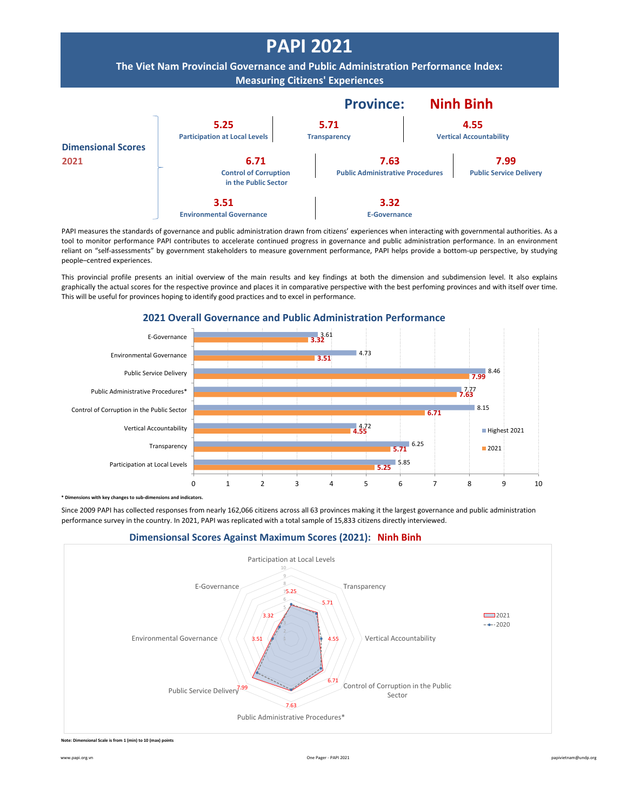

PAPI measures the standards of governance and public administration drawn from citizens' experiences when interacting with governmental authorities. As a tool to monitor performance PAPI contributes to accelerate continued progress in governance and public administration performance. In an environment reliant on "self-assessments" by government stakeholders to measure government performance, PAPI helps provide a bottom-up perspective, by studying people–centred experiences.

This provincial profile presents an initial overview of the main results and key findings at both the dimension and subdimension level. It also explains graphically the actual scores for the respective province and places it in comparative perspective with the best perfoming provinces and with itself over time. This will be useful for provinces hoping to identify good practices and to excel in performance.



## **2021 Overall Governance and Public Administration Performance**

**bimenth componentify** changes to sub-dimensions and indicators.

Since 2009 PAPI has collected responses from nearly 162,066 citizens across all 63 provinces making it the largest governance and public administration performance survey in the country. In 2021, PAPI was replicated with a total sample of 15,833 citizens directly interviewed.



## **Dimensionsal Scores Against Maximum Scores (2021): Ninh Binh**

**Note: Dimensional Scale is from 1 (min) to 10 (max) points**